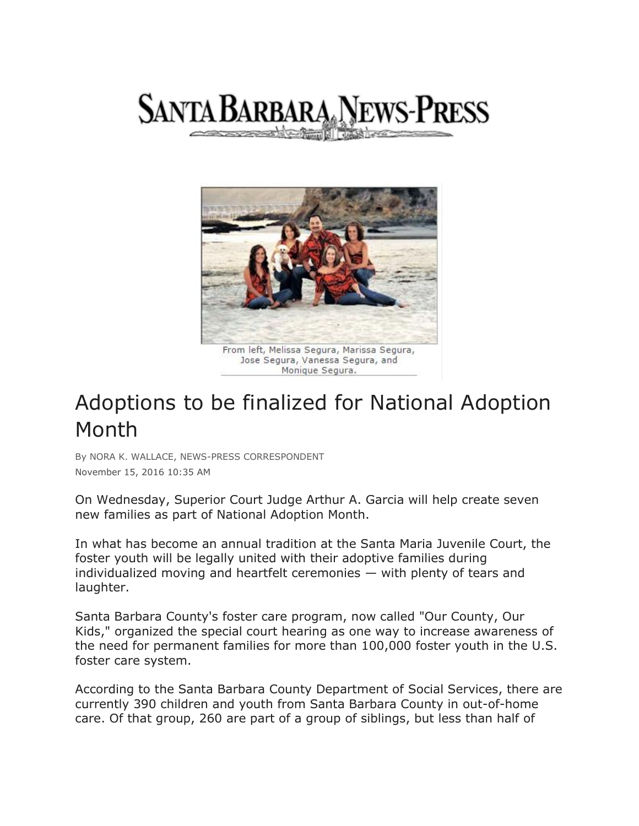



Jose Segura, Vanessa Segura, and Monique Segura.

## Adoptions to be finalized for National Adoption Month

By NORA K. WALLACE, NEWS-PRESS CORRESPONDENT November 15, 2016 10:35 AM

On Wednesday, Superior Court Judge Arthur A. Garcia will help create seven new families as part of National Adoption Month.

In what has become an annual tradition at the Santa Maria Juvenile Court, the foster youth will be legally united with their adoptive families during individualized moving and heartfelt ceremonies — with plenty of tears and laughter.

Santa Barbara County's foster care program, now called "Our County, Our Kids," organized the special court hearing as one way to increase awareness of the need for permanent families for more than 100,000 foster youth in the U.S. foster care system.

According to the Santa Barbara County Department of Social Services, there are currently 390 children and youth from Santa Barbara County in out-of-home care. Of that group, 260 are part of a group of siblings, but less than half of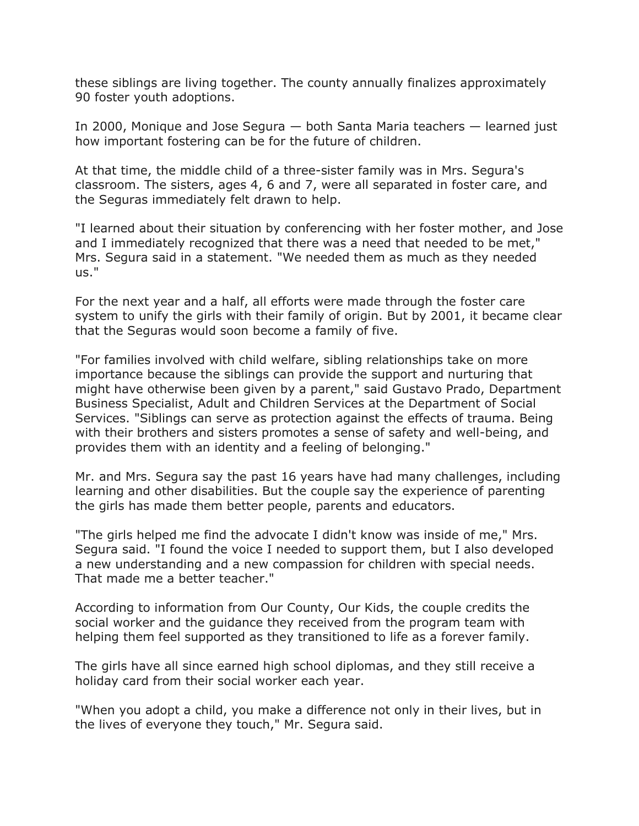these siblings are living together. The county annually finalizes approximately 90 foster youth adoptions.

In 2000, Monique and Jose Segura — both Santa Maria teachers — learned just how important fostering can be for the future of children.

At that time, the middle child of a three-sister family was in Mrs. Segura's classroom. The sisters, ages 4, 6 and 7, were all separated in foster care, and the Seguras immediately felt drawn to help.

"I learned about their situation by conferencing with her foster mother, and Jose and I immediately recognized that there was a need that needed to be met," Mrs. Segura said in a statement. "We needed them as much as they needed us."

For the next year and a half, all efforts were made through the foster care system to unify the girls with their family of origin. But by 2001, it became clear that the Seguras would soon become a family of five.

"For families involved with child welfare, sibling relationships take on more importance because the siblings can provide the support and nurturing that might have otherwise been given by a parent," said Gustavo Prado, Department Business Specialist, Adult and Children Services at the Department of Social Services. "Siblings can serve as protection against the effects of trauma. Being with their brothers and sisters promotes a sense of safety and well-being, and provides them with an identity and a feeling of belonging."

Mr. and Mrs. Segura say the past 16 years have had many challenges, including learning and other disabilities. But the couple say the experience of parenting the girls has made them better people, parents and educators.

"The girls helped me find the advocate I didn't know was inside of me," Mrs. Segura said. "I found the voice I needed to support them, but I also developed a new understanding and a new compassion for children with special needs. That made me a better teacher."

According to information from Our County, Our Kids, the couple credits the social worker and the guidance they received from the program team with helping them feel supported as they transitioned to life as a forever family.

The girls have all since earned high school diplomas, and they still receive a holiday card from their social worker each year.

"When you adopt a child, you make a difference not only in their lives, but in the lives of everyone they touch," Mr. Segura said.